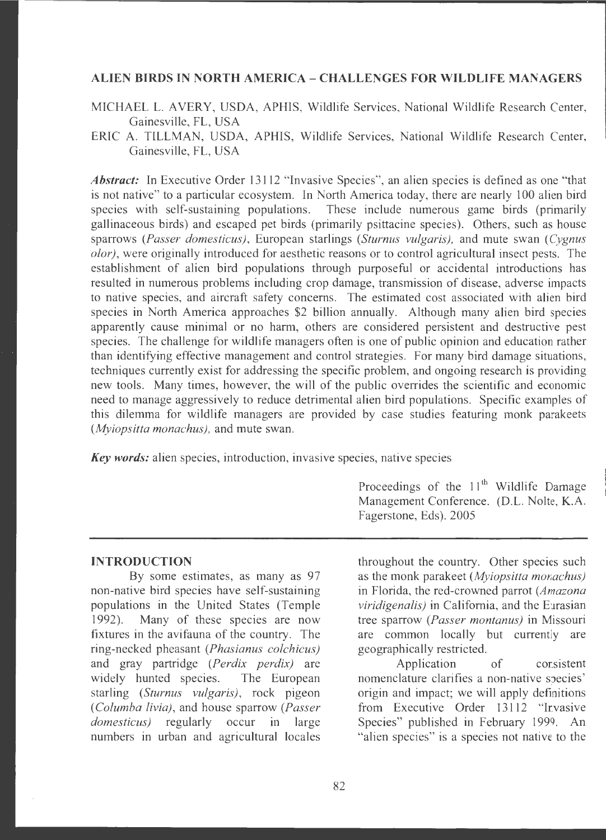## **ALIEN BIRDS IN NORTH AMERICA** - **CHALLENGES FOR WILDLIFE MANAGERS**

- MICHAEL L. AVERY, USDA, APHIS, Wildlife Services, National Wildlife Research Center, Gainesville, FL, USA
- ERIC A. TILLMAN, USDA, APHIS, Wildlife Services, National Wildlife Research Center, Gainesville, FL, USA

*Abstract:* In Executive Order 13112 "Invasive Species", an alien species is defined as one "that is not native" to a particular ecosystem. In North America today, there are nearly 100 alien bird species with self-sustaining populations. These include numerous game birds (primarily gallinaceous birds) and escaped pet birds (primarily psittacine species). Others, such as house sparrows *(Passer domesticus)*, European starlings *(Sturnus vulgaris)*, and mute swan *(Cygnus*) *olor),* were originally introduced for aesthetic reasons or to control agricultural insect pests. The establishment of alien bird populations through purposeful or accidental introductions has resulted in numerous problems including crop damage, transmission of disease, adverse impacts to native species, and aircraft safety concerns. The estimated cost associated with alien bird species in North America approaches \$2 billion annually. Although many alien bird species apparently cause minimal or no harm, others are considered persistent and destructive pest species. The challenge for wildlife managers often is one of public opinion and education rather than identifying effective management and control strategies. For many bird damage situations, techniques currently exist for addressing the specific problem, and ongoing research is providing new tools. Many times, however, the will of the public overrides the scientific and economic need to manage aggressively to reduce detrimental alien bird populations. Specific examples of this dilemma for wildlife managers are provided by case studies featuring monk parakeets *(Myiopsitta monachus),* and mute swan.

*Key words:* alien species, introduction, invasive species, native species

Proceedings of the  $11<sup>th</sup>$  Wildlife Damage Management Conference. (D.L. Nolte, K.A. Fagerstone, Eds). 2005

### **INTRODUCTION**

By some estimates, as many as 97 non-native bird species have self-sustaining populations in the United States (Temple 1992). Many of these species are now fixtures in the avifauna of the country. The ring-necked pheasant *(Phasianus colchicus)*  and gray partridge *(Perdix perdix)* are widely hunted species. The European starling *(Sturnus vulgaris),* rock pigeon ( *Columba livia),* and house sparrow *(Passer domesticus)* regularly occur in large numbers in urban and agricultural locales

throughout the country. Other species such as the monk parakeet *(Myiopsitta monachus)*  in Florida, the red-crowned parrot (Amazona *viridigenalis*) in California, and the Eurasian tree sparrow *(Passer montanus)* in Missouri are common locally but currently are geographically restricted.

Application of corsistent nomenclature clarifies a non-native species' origin and impact; we will apply definitions from Executive Order 13112 "Ir.vasive Species" published in February 1999. An "alien species" is a species not native to the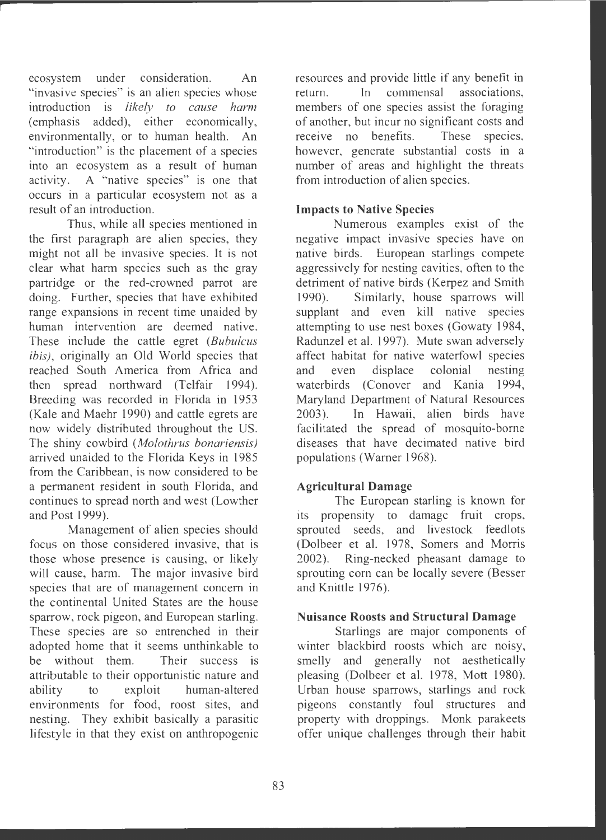ecosystem under consideration. An "invasive species" is an alien species whose introduction is *likely to cause harm*  (emphasis added), either economically, environmentally, or to human health. An "introduction" is the placement of a species into an ecosystem as a result of human activity. A "native species" is one that occurs in a particular ecosystem not as a result of an introduction.

Thus, while all species mentioned in the first paragraph are alien species, they might not all be invasive species. It is not clear what harm species such as the gray partridge or the red-crowned parrot are doing. Further, species that have exhibited range expansions in recent time unaided by human intervention are deemed native. These include the cattle egret *(Bubulcus ibis),* originally an Old World species that reached South America from Africa and then spread northward (Telfair 1994). Breeding was recorded in Florida in 1953 (Kale and Maehr 1990) and cattle egrets are now widely distributed throughout the US. The shiny cowbird *(Mofothrus bonariensis)*  arrived unaided to the Florida Keys in 1985 from the Caribbean, is now considered to be a permanent resident in south Florida, and continues to spread north and west (Lowther and Post 1999).

Management of alien species should focus on those considered invasive, that is those whose presence is causing, or likely will cause, harm. The major invasive bird species that are of management concern in the continental United States are the house sparrow, rock pigeon, and European starling. These species are so entrenched in their adopted home that it seems unthinkable to be without them. Their success is attributable to their opportunistic nature and ability to exploit human-altered environments for food, roost sites, and nesting. They exhibit basically a parasitic lifestyle in that they exist on anthropogenic resources and provide little if any benefit in return. In commensal associations, members of one species assist the foraging of another, but incur no significant costs and receive no benefits. These species, however, generate substantial costs in a number of areas and highlight the threats from introduction of alien species.

# **Impacts to Native Species**

Numerous examples exist of the negative impact invasive species have on native birds. European starlings compete aggressively for nesting cavities, often to the detriment of native birds (Kerpez and Smith 1990). Similarly, house sparrows will supplant and even kill native species attempting to use nest boxes (Gowaty 1984, Radunzel et al. 1997). Mute swan adversely affect habitat for native waterfowl species and even displace colonial nesting waterbirds (Conover and Kania 1994, Maryland Department of Natural Resources 2003). In Hawaii, alien birds have facilitated the spread of mosquito-borne diseases that have decimated native bird populations (Warner 1968).

## **Agricultural Damage**

The European starling is known for its propensity to damage fruit crops, sprouted seeds, and livestock feedlots (Dolbeer et al. 1978, Somers and Morris 2002). Ring-necked pheasant damage to sprouting corn can be locally severe (Besser and Knittle 1976).

## **Nuisance Roosts and Structural Damage**

Starlings are major components of winter blackbird roosts which are noisy, smelly and generally not aesthetically pleasing (Dolbeer et al. 1978, Mott 1980). Urban house sparrows, starlings and rock pigeons constantly foul structures and property with droppings. Monk parakeets offer unique challenges through their habit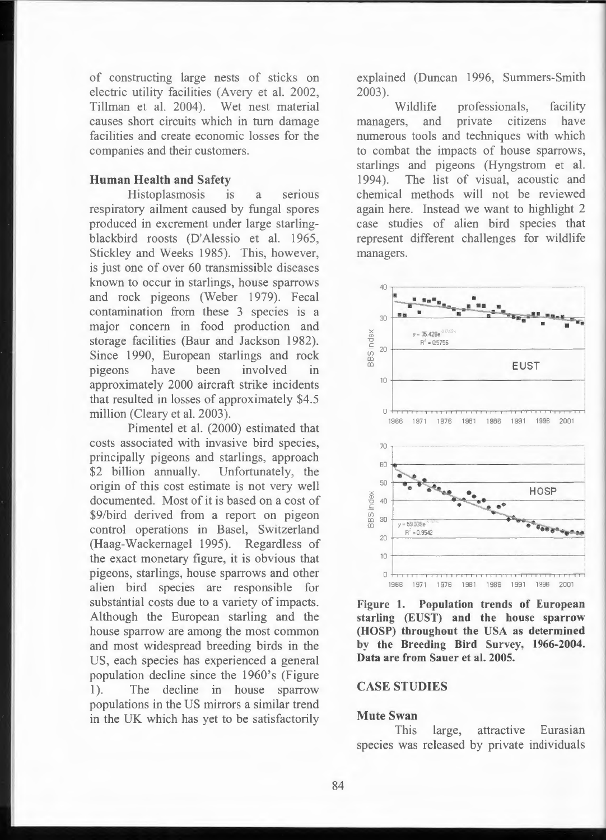of constructing large nests of sticks on electric utility facilities (Avery et al. 2002, Tillman et al. 2004). Wet nest material causes short circuits which in tum damage facilities and create economic losses for the companies and their customers.

### **Human Health and Safety**

Histoplasmosis is a serious respiratory ailment caused by fungal spores produced in excrement under large starlingblackbird roosts (D'Alessio et al. 1965, Stickley and Weeks 1985). This, however, is just one of over 60 transmissible diseases known to occur in starlings, house sparrows and rock pigeons (Weber 1979). Fecal contamination from these 3 species is a major concern in food production and storage facilities (Baur and Jackson 1982). Since 1990, European starlings and rock pigeons have been involved in approximately 2000 aircraft strike incidents that resulted in losses of approximately \$4.5 million (Cleary et al. 2003).

Pimentel et al. (2000) estimated that costs associated with invasive bird species, principally pigeons and starlings, approach \$2 billion annually. Unfortunately, the origin of this cost estimate is not very well documented. Most of it is based on a cost of \$9/bird derived from a report on pigeon control operations in Basel, Switzerland (Haag-Wackemagel 1995). Regardless of the exact monetary figure, it is obvious that pigeons, starlings, house sparrows and other alien bird species are responsible for substantial costs due to a variety of impacts. Although the European starling and the house sparrow are among the most common and most widespread breeding birds in the US, each species has experienced a general population decline since the 1960's (Figure 1). The decline in house sparrow populations in the US mirrors a similar trend in the UK which has yet to be satisfactorily

explained (Duncan 1996, Summers-Smith 2003).

Wildlife professionals, facility managers, and private citizens have numerous tools and techniques with which to combat the impacts of house sparrows, starlings and pigeons (Hyngstrom et al. 1994). The list of visual, acoustic and chemical methods will not be reviewed again here. Instead we want to highlight 2 case studies of alien bird species that represent different challenges for wildlife managers.



**Figure 1. Population trends of European starling (EUST) and the house sparrow (HOSP) throughout the USA as determined by the Breeding Bird Survey, 1966-2004. Data are from Sauer et al. 2005.** 

## **CASE STUDIES**

### **Mute Swan**

This large, attractive Eurasian species was released by private individuals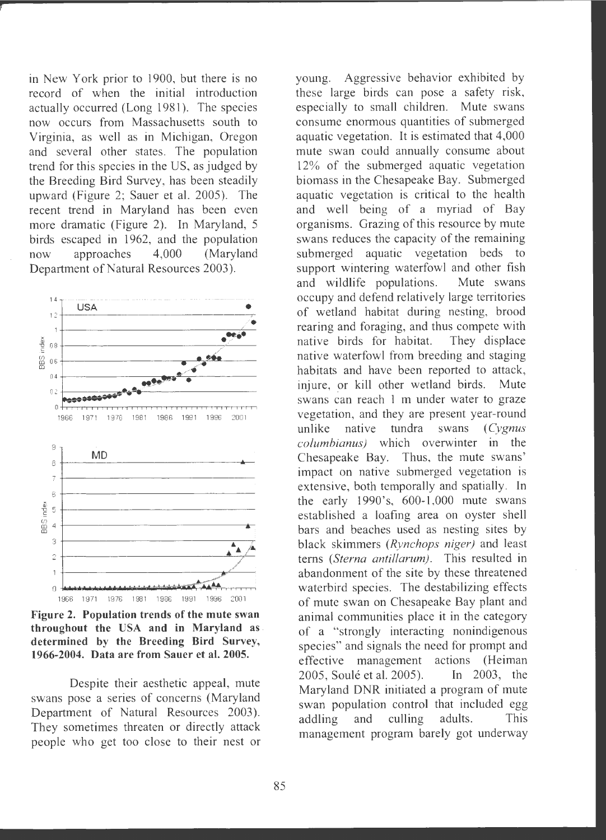in New York prior to 1900, but there is no record of when the initial introduction actually occurred (Long 1981 ). The species now occurs from Massachusetts south to Virginia, as well as in Michigan, Oregon and several other states. The population trend for this species in the US, as judged by the Breeding Bird Survey, has been steadily upward (Figure 2; Sauer et al. 2005). The recent trend in Maryland has been even more dramatic (Figure 2). In Maryland, 5 birds escaped in 1962, and the population now approaches 4,000 (Maryland Department of Natural Resources 2003) .



**Figure 2. Population trends of the mute swan throughout the USA and in Maryland as** . **determined by the Breeding Bird Survey, 1966-2004. Data are from Sauer et al. 2005.** 

Despite their aesthetic appeal, mute swans pose a series of concerns (Maryland Department of Natural Resources 2003). They sometimes threaten or directly attack people who get too close to their nest or young. Aggressive behavior exhibited by these large birds can pose a safety risk, especially to small children. Mute swans consume enormous quantities of submerged aquatic vegetation. It is estimated that 4,000 mute swan could annually consume about 12% of the submerged aquatic vegetation biomass in the Chesapeake Bay. Submerged aquatic vegetation is critical to the health and well being of a myriad of Bay organisms. Grazing of this resource by mute swans reduces the capacity of the remaining submerged aquatic vegetation beds to support wintering waterfowl and other fish and wildlife populations. Mute swans occupy and defend relatively large territories of wetland habitat during nesting, brood rearing and foraging, and thus compete with native birds for habitat. They displace native waterfowl from breeding and staging habitats and have been reported to attack, injure, or kill other wetland birds. Mute swans can reach 1 m under water to graze vegetation, and they are present year-round unlike native tundra swans ( *Cygnus cofumbianus)* which overwinter in the Chesapeake Bay. Thus, the mute swans' impact on native submerged vegetation is extensive, both temporally and spatially. In the early  $1990$ 's,  $600-1,000$  mute swans established a loafing area on oyster shell bars and beaches used as nesting sites by black skimmers *(Rynchops niger)* and least terns *(Sterna antillarum) .* This resulted in abandonment of the site by these threatened waterbird species. The destabilizing effects of mute swan on Chesapeake Bay plant and animal communities place it in the category of a "strongly interacting nonindigenous species" and signals the need for prompt and effective management actions (Heiman 2005, Soulé et al. 2005). In 2003, the Maryland DNR initiated a program of mute swan population control that included egg addling and culling adults. This management program barely got underway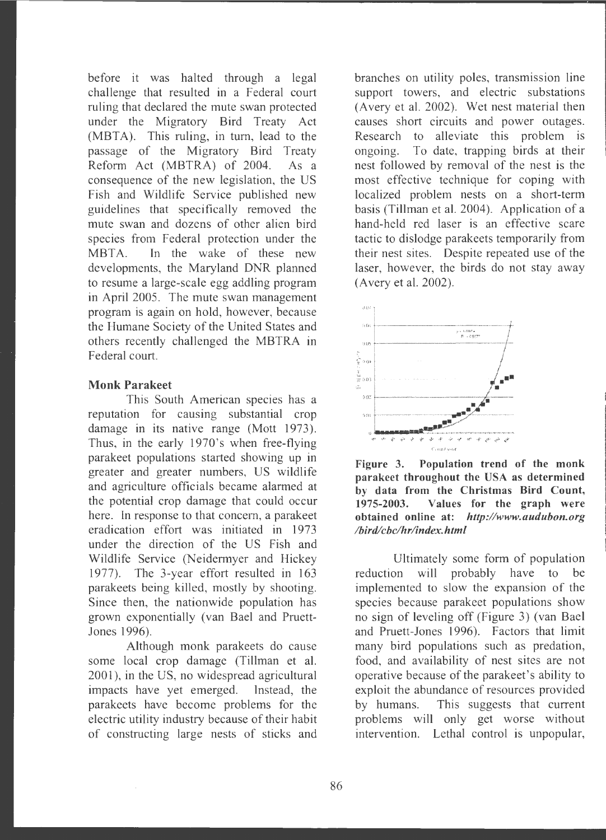before it was halted through a legal challenge that resulted in a Federal court ruling that declared the mute swan protected under the Migratory Bird Treaty Act  $(MBTA)$ . This ruling, in turn, lead to the passage of the Migratory Bird Treaty Reform Act (MBTRA) of 2004. As a consequence of the new legislation, the US Fish and Wildlife Service published new guidelines that specifically removed the mute swan and dozens of other alien bird species from Federal protection under the MBTA. In the wake of these new developments, the Maryland DNR planned to resume a large-scale egg addling program in April 2005. The mute swan management program is again on hold, however, because the Humane Society of the United States and others recently challenged the MBTRA in Federal court.

### **Monk Parakeet**

This South American species has a reputation for causing substantial crop damage in its native range (Mott 1973). Thus, in the early 1970's when free-flying parakeet populations started showing up in greater and greater numbers, US wildlife and agriculture officials became alarmed at the potential crop damage that could occur here. In response to that concern, a parakeet eradication effort was initiated in 1973 under the direction of the US Fish and Wildlife Service (Neidermyer and Hickey 1977). The 3-year effort resulted in 163 parakeets being killed, mostly by shooting. Since then, the nationwide population has grown exponentially (van Bael and Pruett-Jones 1996).

Although monk parakeets do cause some local crop damage (Tillman et al. 2001 ), in the US, no widespread agricultural impacts have yet emerged. Instead, the parakeets have become problems for the electric utility industry because of their habit of constructing large nests of sticks and branches on utility poles, transmission line support towers, and electric substations (Avery et al. 2002). Wet nest material then causes short circuits and power outages. Research to alleviate this problem is ongoing. To date, trapping birds at their nest followed by removal of the nest is the most effective technique for coping with localized problem nests on a short-term basis (Tillman et al. 2004). Application of a hand-held red laser is an effective scare tactic to dislodge parakeets temporarily from their nest sites. Despite repeated use of the laser, however, the birds do not stay away (Avery et al. 2002).



**Figure 3. Population trend of the monk parakeet throughout the USA as determined by data from the Christmas Bird Count, 1975-2003. Values for the graph were obtained online at:** *http://www.audubon.org lbird/cbc/hrlindex .html* 

Ultimately some form of population reduction will probably have to be implemented to slow the expansion of the species because parakeet populations show no sign of leveling off (Figure 3) (van Bael and Pruett-Jones 1996). Factors that limit many bird populations such as predation, food, and availability of nest sites are not operative because of the parakeet's ability to exploit the abundance of resources provided by humans. This suggests that current problems will only get worse without intervention. Lethal control is unpopular,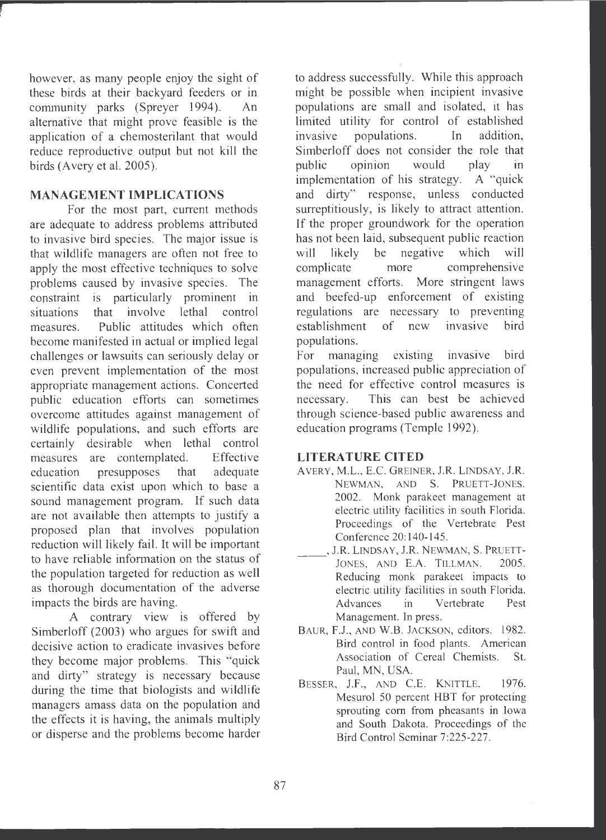however, as many people enjoy the sight of these birds at their backyard feeders or in community parks (Spreyer 1994). An alternative that might prove feasible is the application of a chemosterilant that would reduce reproductive output but not kill the birds (Avery et al. 2005).

# **MANAGEMENT IMPLICATIONS**

For the most part, current methods are adequate to address problems attributed to invasive bird species. The major issue is that wildlife managers are often not free to apply the most effective techniques to solve problems caused by invasive species. The constraint is particularly prominent in situations that involve lethal control measures. Public attitudes which often become manifested in actual or implied legal challenges or lawsuits can seriously delay or even prevent implementation of the most appropriate management actions. Concerted public education efforts can sometimes overcome attitudes against management of wildlife populations, and such efforts are certainly desirable when lethal control measures are contemplated. Effective education presupposes that adequate scientific data exist upon which to base a sound management program. If such data are not available then attempts to justify a proposed plan that involves population reduction will likely fail. It will be important to have reliable information on the status of the population targeted for reduction as well as thorough documentation of the adverse impacts the birds are having.

A contrary view is offered by Simberloff (2003) who argues for swift and decisive action to eradicate invasives before they become major problems. This "quick and dirty" strategy is necessary because during the time that biologists and wildlife managers amass data on the population and the effects it is having, the animals multiply or disperse and the problems become harder to address successfully. While this approach might be possible when incipient invasive populations are small and isolated, it has limited utility for control of established invasive populations. In addition, Simberloff does not consider the role that public opinion would play in implementation of his strategy. A "quick and dirty" response, unless conducted surreptitiously, is likely to attract attention. If the proper groundwork for the operation has not been laid, subsequent public reaction will likely be negative which will complicate more comprehensive management efforts. More stringent laws and beefed-up enforcement of existing regulations are necessary to preventing establishment of new invasive bird populations.

For managing existing invasive bird populations , increased public appreciation of the need for effective control measures is necessary. This can best be achieved through science-based public awareness and education programs (Temple 1992).

## **LITERATURE CITED**

- AVERY, M.L., E.C. GREINER, J.R. LINDSAY, J.R. NEWMAN, AND S. PRUETT-JONES. 2002. Monk parakeet management at electric utility facilities in south Florida. Proceedings of the Vertebrate Pest Conference 20:140-145.
- , J.R. LINDSAY, J.R. NEWMAN, S. PRUETT-JONES, AND E.A. TILLMAN. 2005. Reducing monk parakeet impacts to electric utility facilities in south Florida. Advances in Vertebrate Pest Management. In press.
- BAUR, F.J., AND W.B. JACKSON, editors. 1982. Bird control in food plants. American Association of Cereal Chemists. St. Paul, MN, USA.
- BESSER, J.F., AND C.E. KNITTLE. 1976. Mesurol 50 percent HBT for protecting sprouting com from pheasants in Iowa and South Dakota. Proceedings of the Bird Control Seminar 7:225-227.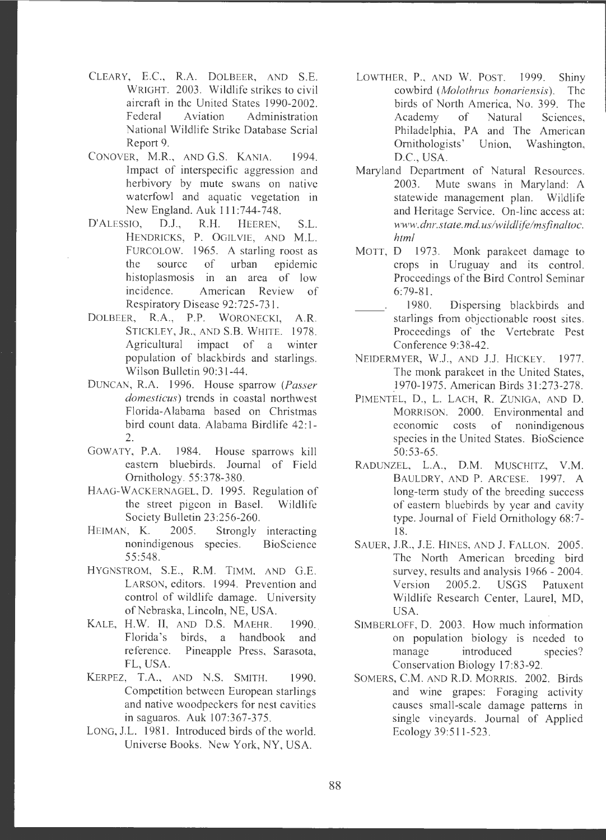- CLEARY, E.C., **R.A.** DOLBEER, AND S.E. WRIGHT. 2003. Wildlife strikes to civil aircraft in the United States 1990-2002. Federal Aviation Administration National Wildlife Strike Database Serial Report 9.
- CONOVER, M.R., AND G.S. KANIA. 1994. Impact of interspecific aggression and herbivory by mute swans on native waterfowl and aquatic vegetation in New England. Auk 111 :744-748.
- D'ALESSIO, D.J., R.H. HEEREN, S.L. HENDRICKS, P. OGILVIE, AND M.L. FURCOLOW. 1965. A starling roost as the source of urban epidemic histoplasmosis in an area of low incidence. American Review of Respiratory Disease 92:725-731.
- DOLBEER, **R.A., P.P.** WORONECKJ, **A.R.**  STICKLEY, JR., AND **S.B.** WHITE. 1978. Agricultural impact of a winter population of blackbirds and starlings. Wilson Bulletin 90:31-44 .
- DUNCAN, R.A. 1996. House sparrow *(Passer domesticus*) trends in coastal northwest Florida-Alabama based on Christmas bird count data. Alabama Birdlife 42:1-2.
- GOWATY, P.A. 1984. House sparrows kill eastern bluebirds. Journal of Field Ornithology . 55:378-380.
- HAAG-WACKERNAGEL, D. 1995. Regulation of the street pigeon in Basel. Wildlife Society Bulletin 23:256-260.
- HEIMAN, **K.** 2005. Strongly interacting nonindigenous species. BioScience 55:548.
- HYGNSTROM, S.E., **R.M.** TIMM, AND G.E. LARSON, editors. 1994. Prevention and control of wildlife damage. University of Nebraska, Lincoln, NE, USA.
- KALE, H.W. II, AND D.S. MAEHR. 1990. Florida's birds, a handbook and reference. Pineapple Press, Sarasota, FL, USA.
- KERPEZ, T.A., AND N.S. SMITH. 1990. Competition between European starlings and native woodpeckers for nest cavities in saguaros. Auk 107:367-375 .
- LONG, J.L. 1981. Introduced birds of the world. Universe Books. New York, NY , USA.
- LOWTHER, **P.,** AND W. POST. 1999. Shiny cowbird *(Molothrus bonariensis).* The birds of North America, No. 399. The Academy of Natural Sciences, Philadelphia, PA and The American Ornithologists' Union, Washington, D.C., USA.
- Maryland Department of Natural Resources. 2003. Mute swans in Maryland: A statewide management plan. Wildlife and Heritage Service. On-line access at: *www.dnr.state.md.us/wildlffelmsfinaltoc. html*
- MOTT, D 1973. Monk parakeet damage to crops in Uruguay and its control. Proceedings of the Bird Control Seminar 6:79-81.
	- 1980. Dispersing blackbirds and starlings from objectionable roost sites. Proceedings of the Vertebrate Pest Conference 9:38-42.
- NEIDERMYER, W.J., AND J.J. HICKEY. 1977. The monk parakeet in the United States, 1970-1975 . American Birds 31 :273-278 .
- PIMENTEL, D., L. LACH, R. ZUNIGA, AND D. MORRISON. 2000. Environmental and economic costs of nonindigenous species in the United States. BioScience 50:53-65.
- RADUNZEL, L.A ., **D.M .** MUSCHITZ, **V.M .**  BAULDRY, AND **P.** ARCESE. 1997. **A**  long-term study of the breeding success of eastern bluebirds by year and cavity type. Journal of Field Ornithology 68:7- 18.
- SAUER, J.R., J.E. HINES, AND J. FALLON. 2005. The North American breeding bird survey, results and analysis 1966 - 2004. Version 2005.2. USGS Patuxent Wildlife Research Center, Laurel, MD, USA.
- SIMBERLOFF, D. 2003. How much information on population biology is needed to manage introduced species? Conservation Biology 17:83-92.
- SOMERS, C.M. AND R.D. MORRIS. 2002. Birds and wine grapes: Foraging activity causes small-scale damage patterns in single vineyards. Journal of Applied Ecology 39:511-523 .